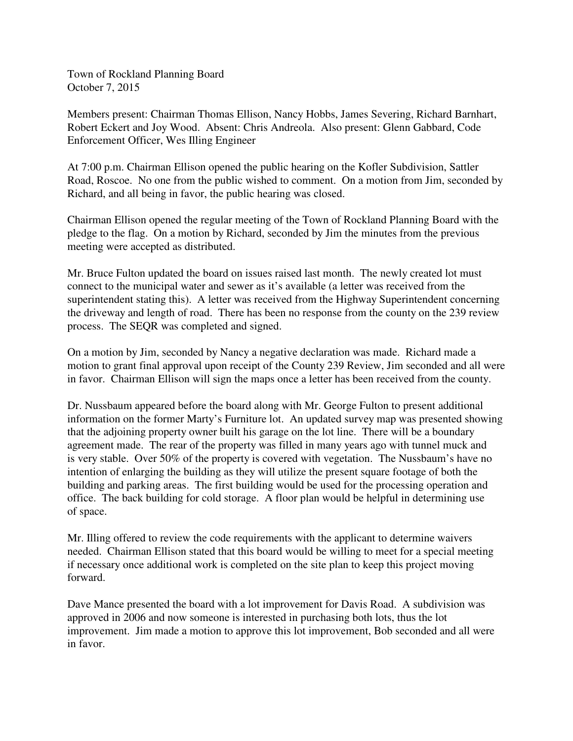Town of Rockland Planning Board October 7, 2015

Members present: Chairman Thomas Ellison, Nancy Hobbs, James Severing, Richard Barnhart, Robert Eckert and Joy Wood. Absent: Chris Andreola. Also present: Glenn Gabbard, Code Enforcement Officer, Wes Illing Engineer

At 7:00 p.m. Chairman Ellison opened the public hearing on the Kofler Subdivision, Sattler Road, Roscoe. No one from the public wished to comment. On a motion from Jim, seconded by Richard, and all being in favor, the public hearing was closed.

Chairman Ellison opened the regular meeting of the Town of Rockland Planning Board with the pledge to the flag. On a motion by Richard, seconded by Jim the minutes from the previous meeting were accepted as distributed.

Mr. Bruce Fulton updated the board on issues raised last month. The newly created lot must connect to the municipal water and sewer as it's available (a letter was received from the superintendent stating this). A letter was received from the Highway Superintendent concerning the driveway and length of road. There has been no response from the county on the 239 review process. The SEQR was completed and signed.

On a motion by Jim, seconded by Nancy a negative declaration was made. Richard made a motion to grant final approval upon receipt of the County 239 Review, Jim seconded and all were in favor. Chairman Ellison will sign the maps once a letter has been received from the county.

Dr. Nussbaum appeared before the board along with Mr. George Fulton to present additional information on the former Marty's Furniture lot. An updated survey map was presented showing that the adjoining property owner built his garage on the lot line. There will be a boundary agreement made. The rear of the property was filled in many years ago with tunnel muck and is very stable. Over 50% of the property is covered with vegetation. The Nussbaum's have no intention of enlarging the building as they will utilize the present square footage of both the building and parking areas. The first building would be used for the processing operation and office. The back building for cold storage. A floor plan would be helpful in determining use of space.

Mr. Illing offered to review the code requirements with the applicant to determine waivers needed. Chairman Ellison stated that this board would be willing to meet for a special meeting if necessary once additional work is completed on the site plan to keep this project moving forward.

Dave Mance presented the board with a lot improvement for Davis Road. A subdivision was approved in 2006 and now someone is interested in purchasing both lots, thus the lot improvement. Jim made a motion to approve this lot improvement, Bob seconded and all were in favor.